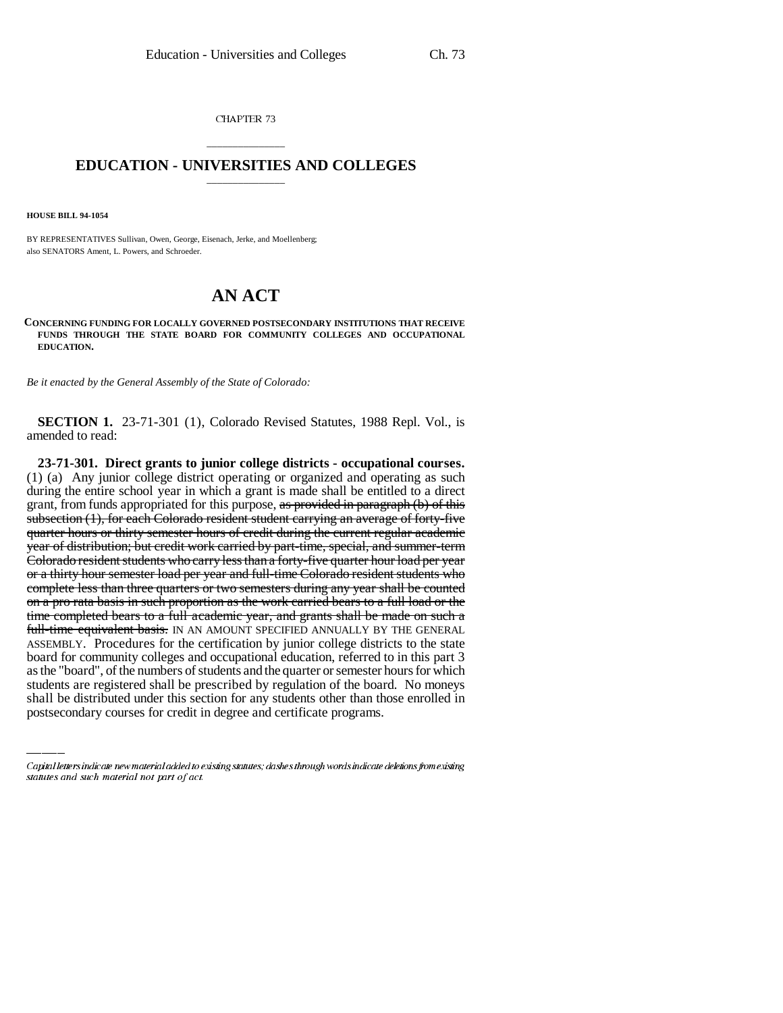CHAPTER 73

## \_\_\_\_\_\_\_\_\_\_\_\_\_\_\_ **EDUCATION - UNIVERSITIES AND COLLEGES** \_\_\_\_\_\_\_\_\_\_\_\_\_\_\_

**HOUSE BILL 94-1054**

BY REPRESENTATIVES Sullivan, Owen, George, Eisenach, Jerke, and Moellenberg; also SENATORS Ament, L. Powers, and Schroeder.

## **AN ACT**

**CONCERNING FUNDING FOR LOCALLY GOVERNED POSTSECONDARY INSTITUTIONS THAT RECEIVE FUNDS THROUGH THE STATE BOARD FOR COMMUNITY COLLEGES AND OCCUPATIONAL EDUCATION.**

*Be it enacted by the General Assembly of the State of Colorado:*

**SECTION 1.** 23-71-301 (1), Colorado Revised Statutes, 1988 Repl. Vol., is amended to read:

board for community colleges and occupational education, referred to in this part 3 **23-71-301. Direct grants to junior college districts - occupational courses.** (1) (a) Any junior college district operating or organized and operating as such during the entire school year in which a grant is made shall be entitled to a direct grant, from funds appropriated for this purpose, as provided in paragraph (b) of this subsection (1), for each Colorado resident student carrying an average of forty-five quarter hours or thirty semester hours of credit during the current regular academic year of distribution; but credit work carried by part-time, special, and summer-term Colorado resident students who carry less than a forty-five quarter hour load per year or a thirty hour semester load per year and full-time Colorado resident students who complete less than three quarters or two semesters during any year shall be counted on a pro rata basis in such proportion as the work carried bears to a full load or the time completed bears to a full academic year, and grants shall be made on such a full-time equivalent basis. IN AN AMOUNT SPECIFIED ANNUALLY BY THE GENERAL ASSEMBLY. Procedures for the certification by junior college districts to the state as the "board", of the numbers of students and the quarter or semester hours for which students are registered shall be prescribed by regulation of the board. No moneys shall be distributed under this section for any students other than those enrolled in postsecondary courses for credit in degree and certificate programs.

Capital letters indicate new material added to existing statutes; dashes through words indicate deletions from existing statutes and such material not part of act.